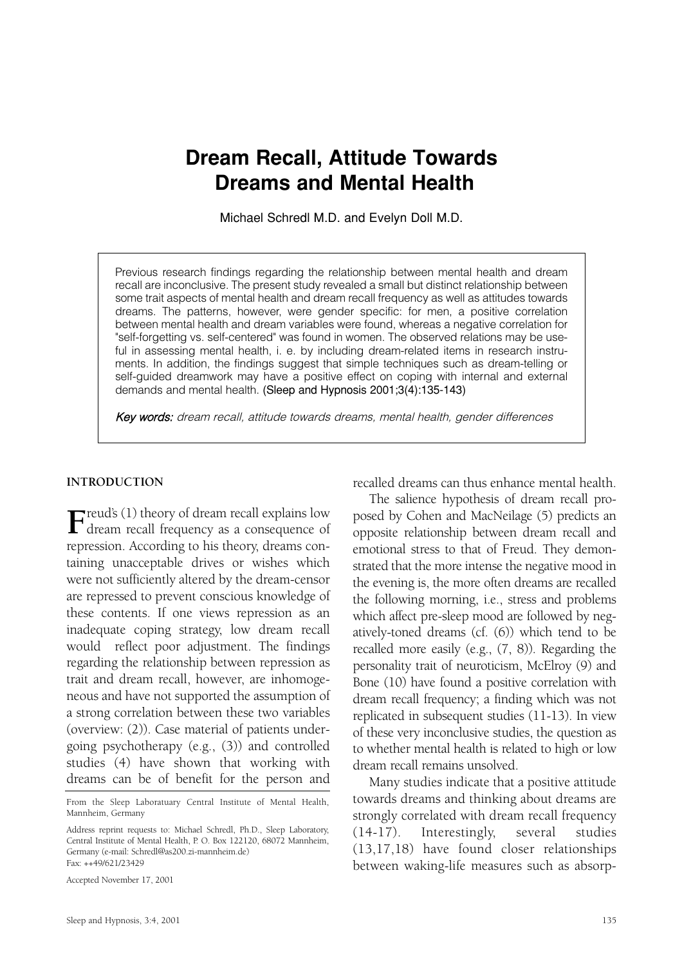# **Dream Recall, Attitude Towards Dreams and Mental Health**

Michael Schredl M.D. and Evelyn Doll M.D.

Previous research findings regarding the relationship between mental health and dream recall are inconclusive. The present study revealed a small but distinct relationship between some trait aspects of mental health and dream recall frequency as well as attitudes towards dreams. The patterns, however, were gender specific: for men, a positive correlation between mental health and dream variables were found, whereas a negative correlation for "self-forgetting vs. self-centered" was found in women. The observed relations may be useful in assessing mental health, i. e. by including dream-related items in research instruments. In addition, the findings suggest that simple techniques such as dream-telling or self-guided dreamwork may have a positive effect on coping with internal and external demands and mental health. (Sleep and Hypnosis 2001;3(4):135-143)

Key words: dream recall, attitude towards dreams, mental health, gender differences

#### **INTRODUCTION**

**F**reud's (1) theory of dream recall explains low dream recall frequency as a consequence of repression. According to his theory, dreams containing unacceptable drives or wishes which were not sufficiently altered by the dream-censor are repressed to prevent conscious knowledge of these contents. If one views repression as an inadequate coping strategy, low dream recall would reflect poor adjustment. The findings regarding the relationship between repression as trait and dream recall, however, are inhomogeneous and have not supported the assumption of a strong correlation between these two variables (overview: (2)). Case material of patients undergoing psychotherapy (e.g., (3)) and controlled studies (4) have shown that working with dreams can be of benefit for the person and

Accepted November 17, 2001

recalled dreams can thus enhance mental health.

The salience hypothesis of dream recall proposed by Cohen and MacNeilage (5) predicts an opposite relationship between dream recall and emotional stress to that of Freud. They demonstrated that the more intense the negative mood in the evening is, the more often dreams are recalled the following morning, i.e., stress and problems which affect pre-sleep mood are followed by negatively-toned dreams (cf. (6)) which tend to be recalled more easily (e.g., (7, 8)). Regarding the personality trait of neuroticism, McElroy (9) and Bone (10) have found a positive correlation with dream recall frequency; a finding which was not replicated in subsequent studies (11-13). In view of these very inconclusive studies, the question as to whether mental health is related to high or low dream recall remains unsolved.

Many studies indicate that a positive attitude towards dreams and thinking about dreams are strongly correlated with dream recall frequency (14-17). Interestingly, several studies (13,17,18) have found closer relationships between waking-life measures such as absorp-

From the Sleep Laboratuary Central Institute of Mental Health, Mannheim, Germany

Address reprint requests to: Michael Schredl, Ph.D., Sleep Laboratory, Central Institute of Mental Health, P. O. Box 122120, 68072 Mannheim, Germany (e-mail: Schredl@as200.zi-mannheim.de) Fax: ++49/621/23429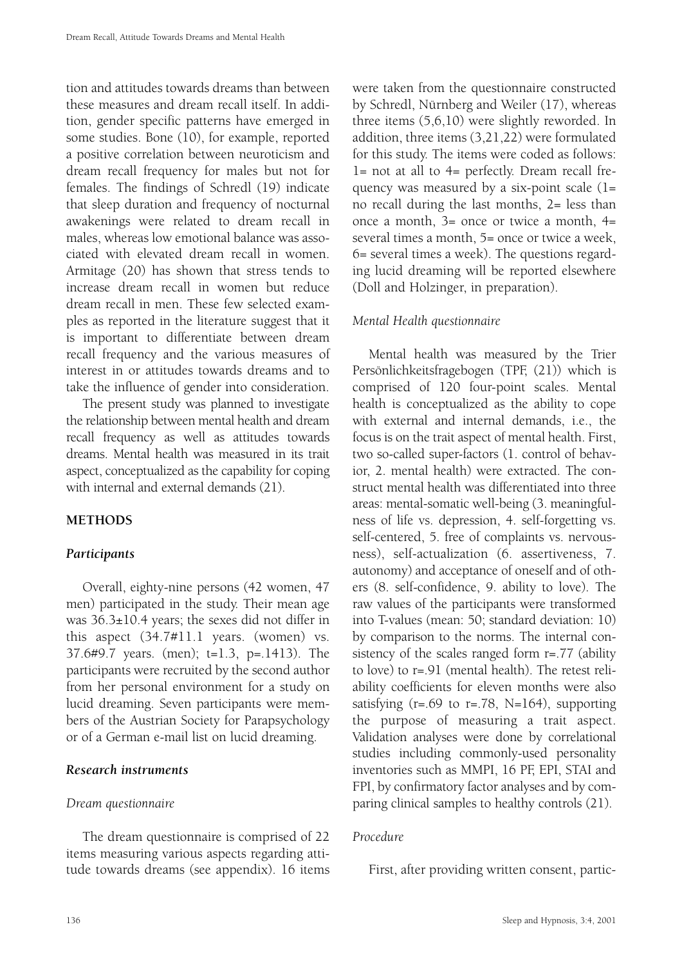tion and attitudes towards dreams than between these measures and dream recall itself. In addition, gender specific patterns have emerged in some studies. Bone (10), for example, reported a positive correlation between neuroticism and dream recall frequency for males but not for females. The findings of Schredl (19) indicate that sleep duration and frequency of nocturnal awakenings were related to dream recall in males, whereas low emotional balance was associated with elevated dream recall in women. Armitage (20) has shown that stress tends to increase dream recall in women but reduce dream recall in men. These few selected examples as reported in the literature suggest that it is important to differentiate between dream recall frequency and the various measures of interest in or attitudes towards dreams and to take the influence of gender into consideration.

The present study was planned to investigate the relationship between mental health and dream recall frequency as well as attitudes towards dreams. Mental health was measured in its trait aspect, conceptualized as the capability for coping with internal and external demands (21).

# **METHODS**

## *Participants*

Overall, eighty-nine persons (42 women, 47 men) participated in the study. Their mean age was 36.3±10.4 years; the sexes did not differ in this aspect (34.7#11.1 years. (women) vs. 37.6#9.7 years. (men); t=1.3, p=.1413). The participants were recruited by the second author from her personal environment for a study on lucid dreaming. Seven participants were members of the Austrian Society for Parapsychology or of a German e-mail list on lucid dreaming.

## *Research instruments*

#### *Dream questionnaire*

The dream questionnaire is comprised of 22 items measuring various aspects regarding attitude towards dreams (see appendix). 16 items

136

were taken from the questionnaire constructed by Schredl, Nürnberg and Weiler (17), whereas three items (5,6,10) were slightly reworded. In addition, three items (3,21,22) were formulated for this study. The items were coded as follows: 1= not at all to 4= perfectly. Dream recall frequency was measured by a six-point scale (1= no recall during the last months, 2= less than once a month, 3= once or twice a month, 4= several times a month, 5= once or twice a week, 6= several times a week). The questions regarding lucid dreaming will be reported elsewhere (Doll and Holzinger, in preparation).

## *Mental Health questionnaire*

Mental health was measured by the Trier Persönlichkeitsfragebogen (TPF, (21)) which is comprised of 120 four-point scales. Mental health is conceptualized as the ability to cope with external and internal demands, i.e., the focus is on the trait aspect of mental health. First, two so-called super-factors (1. control of behavior, 2. mental health) were extracted. The construct mental health was differentiated into three areas: mental-somatic well-being (3. meaningfulness of life vs. depression, 4. self-forgetting vs. self-centered, 5. free of complaints vs. nervousness), self-actualization (6. assertiveness, 7. autonomy) and acceptance of oneself and of others (8. self-confidence, 9. ability to love). The raw values of the participants were transformed into T-values (mean: 50; standard deviation: 10) by comparison to the norms. The internal consistency of the scales ranged form r=.77 (ability to love) to r=.91 (mental health). The retest reliability coefficients for eleven months were also satisfying  $(r=.69 \text{ to } r=.78, N=164)$ , supporting the purpose of measuring a trait aspect. Validation analyses were done by correlational studies including commonly-used personality inventories such as MMPI, 16 PF, EPI, STAI and FPI, by confirmatory factor analyses and by comparing clinical samples to healthy controls (21).

## *Procedure*

First, after providing written consent, partic-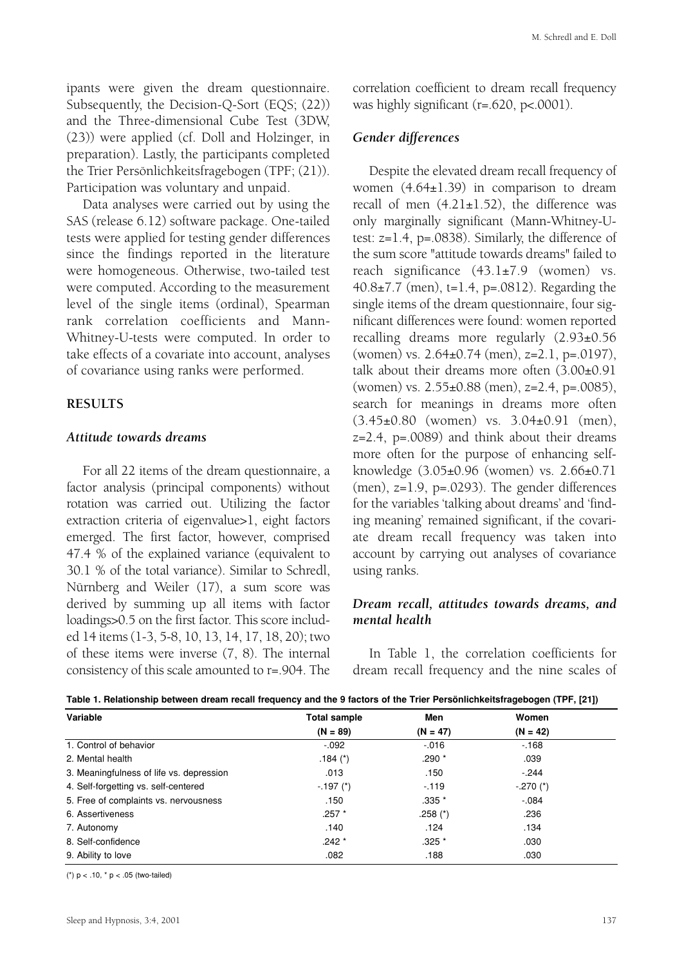ipants were given the dream questionnaire. Subsequently, the Decision-Q-Sort (EQS; (22)) and the Three-dimensional Cube Test (3DW, (23)) were applied (cf. Doll and Holzinger, in preparation). Lastly, the participants completed the Trier Persönlichkeitsfragebogen (TPF; (21)). Participation was voluntary and unpaid.

Data analyses were carried out by using the SAS (release 6.12) software package. One-tailed tests were applied for testing gender differences since the findings reported in the literature were homogeneous. Otherwise, two-tailed test were computed. According to the measurement level of the single items (ordinal), Spearman rank correlation coefficients and Mann-Whitney-U-tests were computed. In order to take effects of a covariate into account, analyses of covariance using ranks were performed.

## **RESULTS**

#### *Attitude towards dreams*

For all 22 items of the dream questionnaire, a factor analysis (principal components) without rotation was carried out. Utilizing the factor extraction criteria of eigenvalue>1, eight factors emerged. The first factor, however, comprised 47.4 % of the explained variance (equivalent to 30.1 % of the total variance). Similar to Schredl, Nürnberg and Weiler (17), a sum score was derived by summing up all items with factor loadings>0.5 on the first factor. This score included 14 items (1-3, 5-8, 10, 13, 14, 17, 18, 20); two of these items were inverse (7, 8). The internal consistency of this scale amounted to r=.904. The correlation coefficient to dream recall frequency was highly significant (r=.620, p<.0001).

#### *Gender differences*

Despite the elevated dream recall frequency of women (4.64±1.39) in comparison to dream recall of men  $(4.21 \pm 1.52)$ , the difference was only marginally significant (Mann-Whitney-Utest: z=1.4, p=.0838). Similarly, the difference of the sum score "attitude towards dreams" failed to reach significance (43.1±7.9 (women) vs. 40.8±7.7 (men), t=1.4, p=.0812). Regarding the single items of the dream questionnaire, four significant differences were found: women reported recalling dreams more regularly (2.93±0.56 (women) vs. 2.64±0.74 (men), z=2.1, p=.0197), talk about their dreams more often (3.00±0.91 (women) vs. 2.55±0.88 (men), z=2.4, p=.0085), search for meanings in dreams more often (3.45±0.80 (women) vs. 3.04±0.91 (men),  $z=2.4$ ,  $p=.0089$ ) and think about their dreams more often for the purpose of enhancing selfknowledge (3.05±0.96 (women) vs. 2.66±0.71 (men), z=1.9, p=.0293). The gender differences for the variables 'talking about dreams' and 'finding meaning' remained significant, if the covariate dream recall frequency was taken into account by carrying out analyses of covariance using ranks.

## *Dream recall, attitudes towards dreams, and mental health*

In Table 1, the correlation coefficients for dream recall frequency and the nine scales of

| Variable                                 | <b>Total sample</b> | Men        | Women       |  |
|------------------------------------------|---------------------|------------|-------------|--|
|                                          | $(N = 89)$          | $(N = 47)$ | $(N = 42)$  |  |
| 1. Control of behavior                   | $-.092$             | $-0.016$   | $-168$      |  |
| 2. Mental health                         | .184 $(*)$          | $.290*$    | .039        |  |
| 3. Meaningfulness of life vs. depression | .013                | .150       | $-.244$     |  |
| 4. Self-forgetting vs. self-centered     | $-.197$ (*)         | $-119$     | $-.270$ (*) |  |
| 5. Free of complaints vs. nervousness    | .150                | $.335*$    | $-.084$     |  |
| 6. Assertiveness                         | $.257$ $*$          | .258 $(*)$ | .236        |  |
| 7. Autonomy                              | .140                | .124       | .134        |  |
| 8. Self-confidence                       | $.242*$             | $.325*$    | .030        |  |
| 9. Ability to love                       | .082                | .188       | .030        |  |

**Table 1. Relationship between dream recall frequency and the 9 factors of the Trier Persönlichkeitsfragebogen (TPF, [21])**

(\*)  $p < .10$ , \*  $p < .05$  (two-tailed)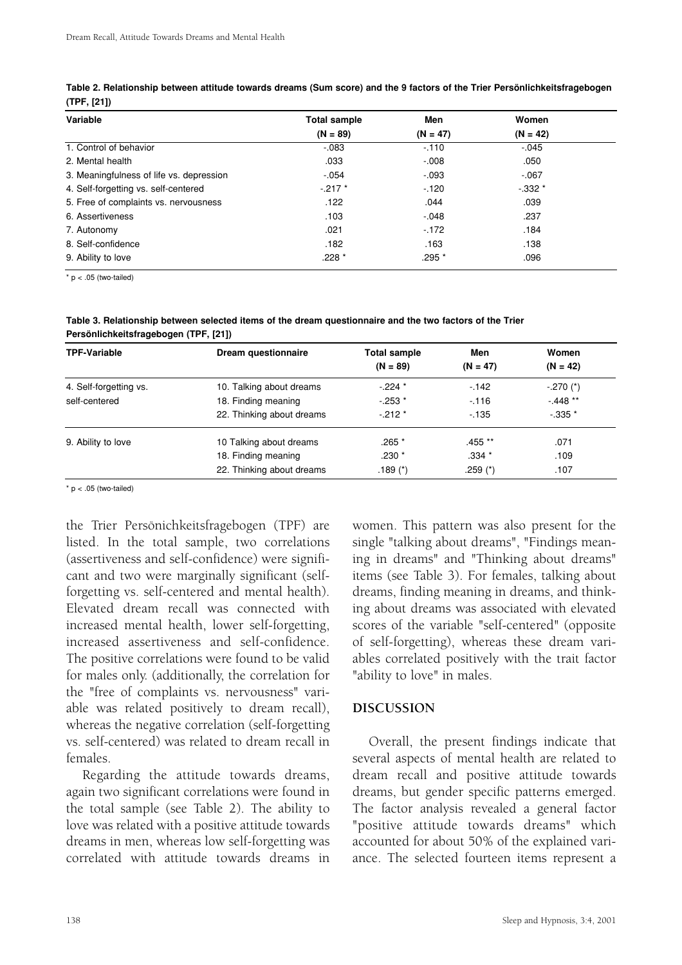| Variable                                 | <b>Total sample</b> | Men        | Women      |  |
|------------------------------------------|---------------------|------------|------------|--|
|                                          | $(N = 89)$          | $(N = 47)$ | $(N = 42)$ |  |
| 1. Control of behavior                   | $-0.083$            | $-110$     | $-.045$    |  |
| 2. Mental health                         | .033                | $-0.08$    | .050       |  |
| 3. Meaningfulness of life vs. depression | $-0.54$             | $-.093$    | $-067$     |  |
| 4. Self-forgetting vs. self-centered     | $-.217$ *           | $-120$     | $-0.332*$  |  |
| 5. Free of complaints vs. nervousness    | .122                | .044       | .039       |  |
| 6. Assertiveness                         | .103                | $-.048$    | .237       |  |
| 7. Autonomy                              | .021                | $-172$     | .184       |  |
| 8. Self-confidence                       | .182                | .163       | .138       |  |
| 9. Ability to love                       | .228 *              | .295 *     | .096       |  |

**Table 2. Relationship between attitude towards dreams (Sum score) and the 9 factors of the Trier Persönlichkeitsfragebogen (TPF, [21])**

 $*$  p < .05 (two-tailed)

**Table 3. Relationship between selected items of the dream questionnaire and the two factors of the Trier Persönlichkeitsfragebogen (TPF, [21])**

| <b>TPF-Variable</b>    | Dream questionnaire       | <b>Total sample</b> | Men          | Women       |
|------------------------|---------------------------|---------------------|--------------|-------------|
|                        |                           | $(N = 89)$          | $(N = 47)$   | $(N = 42)$  |
| 4. Self-forgetting vs. | 10. Talking about dreams  | $-224$ *            | $-142$       | $-.270$ (*) |
| self-centered          | 18. Finding meaning       | $-253*$             | $-116$       | $-0.448**$  |
|                        | 22. Thinking about dreams | $-212*$             | $-135$       | $-0.335*$   |
| 9. Ability to love     | 10 Talking about dreams   | $.265*$             | .455 **      | .071        |
|                        | 18. Finding meaning       | $.230*$             | $.334*$      | .109        |
|                        | 22. Thinking about dreams | .189 $(*)$          | $.259$ $(*)$ | .107        |

 $*$  p < .05 (two-tailed)

the Trier Persönichkeitsfragebogen (TPF) are listed. In the total sample, two correlations (assertiveness and self-confidence) were significant and two were marginally significant (selfforgetting vs. self-centered and mental health). Elevated dream recall was connected with increased mental health, lower self-forgetting, increased assertiveness and self-confidence. The positive correlations were found to be valid for males only. (additionally, the correlation for the "free of complaints vs. nervousness" variable was related positively to dream recall), whereas the negative correlation (self-forgetting vs. self-centered) was related to dream recall in females.

Regarding the attitude towards dreams, again two significant correlations were found in the total sample (see Table 2). The ability to love was related with a positive attitude towards dreams in men, whereas low self-forgetting was correlated with attitude towards dreams in women. This pattern was also present for the single "talking about dreams", "Findings meaning in dreams" and "Thinking about dreams" items (see Table 3). For females, talking about dreams, finding meaning in dreams, and thinking about dreams was associated with elevated scores of the variable "self-centered" (opposite of self-forgetting), whereas these dream variables correlated positively with the trait factor "ability to love" in males.

#### **DISCUSSION**

Overall, the present findings indicate that several aspects of mental health are related to dream recall and positive attitude towards dreams, but gender specific patterns emerged. The factor analysis revealed a general factor "positive attitude towards dreams" which accounted for about 50% of the explained variance. The selected fourteen items represent a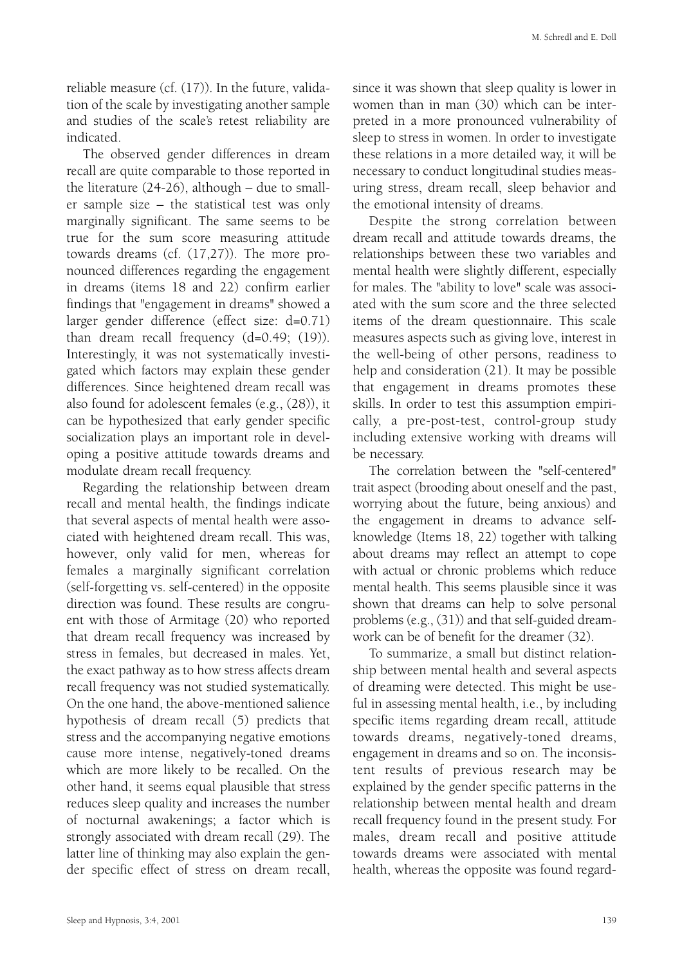reliable measure (cf. (17)). In the future, validation of the scale by investigating another sample and studies of the scale's retest reliability are indicated.

The observed gender differences in dream recall are quite comparable to those reported in the literature (24-26), although – due to smaller sample size – the statistical test was only marginally significant. The same seems to be true for the sum score measuring attitude towards dreams (cf. (17,27)). The more pronounced differences regarding the engagement in dreams (items 18 and 22) confirm earlier findings that "engagement in dreams" showed a larger gender difference (effect size: d=0.71) than dream recall frequency (d=0.49; (19)). Interestingly, it was not systematically investigated which factors may explain these gender differences. Since heightened dream recall was also found for adolescent females (e.g., (28)), it can be hypothesized that early gender specific socialization plays an important role in developing a positive attitude towards dreams and modulate dream recall frequency.

Regarding the relationship between dream recall and mental health, the findings indicate that several aspects of mental health were associated with heightened dream recall. This was, however, only valid for men, whereas for females a marginally significant correlation (self-forgetting vs. self-centered) in the opposite direction was found. These results are congruent with those of Armitage (20) who reported that dream recall frequency was increased by stress in females, but decreased in males. Yet, the exact pathway as to how stress affects dream recall frequency was not studied systematically. On the one hand, the above-mentioned salience hypothesis of dream recall (5) predicts that stress and the accompanying negative emotions cause more intense, negatively-toned dreams which are more likely to be recalled. On the other hand, it seems equal plausible that stress reduces sleep quality and increases the number of nocturnal awakenings; a factor which is strongly associated with dream recall (29). The latter line of thinking may also explain the gender specific effect of stress on dream recall,

since it was shown that sleep quality is lower in women than in man (30) which can be interpreted in a more pronounced vulnerability of sleep to stress in women. In order to investigate these relations in a more detailed way, it will be necessary to conduct longitudinal studies measuring stress, dream recall, sleep behavior and the emotional intensity of dreams.

Despite the strong correlation between dream recall and attitude towards dreams, the relationships between these two variables and mental health were slightly different, especially for males. The "ability to love" scale was associated with the sum score and the three selected items of the dream questionnaire. This scale measures aspects such as giving love, interest in the well-being of other persons, readiness to help and consideration (21). It may be possible that engagement in dreams promotes these skills. In order to test this assumption empirically, a pre-post-test, control-group study including extensive working with dreams will be necessary.

The correlation between the "self-centered" trait aspect (brooding about oneself and the past, worrying about the future, being anxious) and the engagement in dreams to advance selfknowledge (Items 18, 22) together with talking about dreams may reflect an attempt to cope with actual or chronic problems which reduce mental health. This seems plausible since it was shown that dreams can help to solve personal problems (e.g., (31)) and that self-guided dreamwork can be of benefit for the dreamer (32).

To summarize, a small but distinct relationship between mental health and several aspects of dreaming were detected. This might be useful in assessing mental health, i.e., by including specific items regarding dream recall, attitude towards dreams, negatively-toned dreams, engagement in dreams and so on. The inconsistent results of previous research may be explained by the gender specific patterns in the relationship between mental health and dream recall frequency found in the present study. For males, dream recall and positive attitude towards dreams were associated with mental health, whereas the opposite was found regard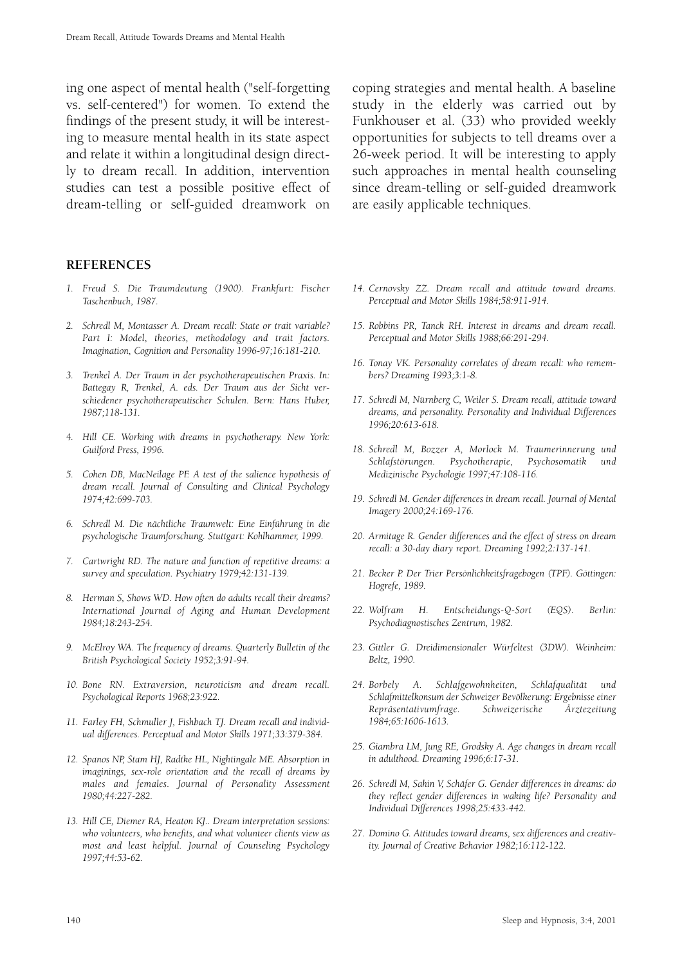ing one aspect of mental health ("self-forgetting vs. self-centered") for women. To extend the findings of the present study, it will be interesting to measure mental health in its state aspect and relate it within a longitudinal design directly to dream recall. In addition, intervention studies can test a possible positive effect of dream-telling or self-guided dreamwork on

**REFERENCES**

- *1. Freud S. Die Traumdeutung (1900). Frankfurt: Fischer Taschenbuch, 1987.*
- *2. Schredl M, Montasser A. Dream recall: State or trait variable? Part I: Model, theories, methodology and trait factors. Imagination, Cognition and Personality 1996-97;16:181-210.*
- *3. Trenkel A. Der Traum in der psychotherapeutischen Praxis. In: Battegay R, Trenkel, A. eds. Der Traum aus der Sicht verschiedener psychotherapeutischer Schulen. Bern: Hans Huber, 1987;118-131.*
- *4. Hill CE. Working with dreams in psychotherapy. New York: Guilford Press, 1996.*
- *5. Cohen DB, MacNeilage PF. A test of the salience hypothesis of dream recall. Journal of Consulting and Clinical Psychology 1974;42:699-703.*
- *6. Schredl M. Die nächtliche Traumwelt: Eine Einführung in die psychologische Traumforschung. Stuttgart: Kohlhammer, 1999.*
- *7. Cartwright RD. The nature and function of repetitive dreams: a survey and speculation. Psychiatry 1979;42:131-139.*
- *8. Herman S, Shows WD. How often do adults recall their dreams? International Journal of Aging and Human Development 1984;18:243-254.*
- *9. McElroy WA. The frequency of dreams. Quarterly Bulletin of the British Psychological Society 1952;3:91-94.*
- *10. Bone RN. Extraversion, neuroticism and dream recall. Psychological Reports 1968;23:922.*
- *11. Farley FH, Schmuller J, Fishbach TJ. Dream recall and individual differences. Perceptual and Motor Skills 1971;33:379-384.*
- *12. Spanos NP, Stam HJ, Radtke HL, Nightingale ME. Absorption in imaginings, sex-role orientation and the recall of dreams by males and females. Journal of Personality Assessment 1980;44:227-282.*
- *13. Hill CE, Diemer RA, Heaton KJ.. Dream interpretation sessions: who volunteers, who benefits, and what volunteer clients view as most and least helpful. Journal of Counseling Psychology 1997;44:53-62.*

coping strategies and mental health. A baseline study in the elderly was carried out by Funkhouser et al. (33) who provided weekly opportunities for subjects to tell dreams over a 26-week period. It will be interesting to apply such approaches in mental health counseling since dream-telling or self-guided dreamwork are easily applicable techniques.

- *14. Cernovsky ZZ. Dream recall and attitude toward dreams. Perceptual and Motor Skills 1984;58:911-914.*
- *15. Robbins PR, Tanck RH. Interest in dreams and dream recall. Perceptual and Motor Skills 1988;66:291-294.*
- *16. Tonay VK. Personality correlates of dream recall: who remembers? Dreaming 1993;3:1-8.*
- *17. Schredl M, Nürnberg C, Weiler S. Dream recall, attitude toward dreams, and personality. Personality and Individual Differences 1996;20:613-618.*
- *18. Schredl M, Bozzer A, Morlock M. Traumerinnerung und Schlafstörungen. Psychotherapie, Psychosomatik und Medizinische Psychologie 1997;47:108-116.*
- *19. Schredl M. Gender differences in dream recall. Journal of Mental Imagery 2000;24:169-176.*
- *20. Armitage R. Gender differences and the effect of stress on dream recall: a 30-day diary report. Dreaming 1992;2:137-141.*
- *21. Becker P. Der Trier Persönlichkeitsfragebogen (TPF). Göttingen: Hogrefe, 1989.*
- *22. Wolfram H. Entscheidungs-Q-Sort (EQS). Berlin: Psychodiagnostisches Zentrum, 1982.*
- *23. Gittler G. Dreidimensionaler Würfeltest (3DW). Weinheim: Beltz, 1990.*
- *24. Borbely A. Schlafgewohnheiten, Schlafqualität und Schlafmittelkonsum der Schweizer Bevölkerung: Ergebnisse einer Repräsentativumfrage. Schweizerische Ärztezeitung 1984;65:1606-1613.*
- *25. Giambra LM, Jung RE, Grodsky A. Age changes in dream recall in adulthood. Dreaming 1996;6:17-31.*
- *26. Schredl M, Sahin V, Schäfer G. Gender differences in dreams: do they reflect gender differences in waking life? Personality and Individual Differences 1998;25:433-442.*
- *27. Domino G. Attitudes toward dreams, sex differences and creativity. Journal of Creative Behavior 1982;16:112-122.*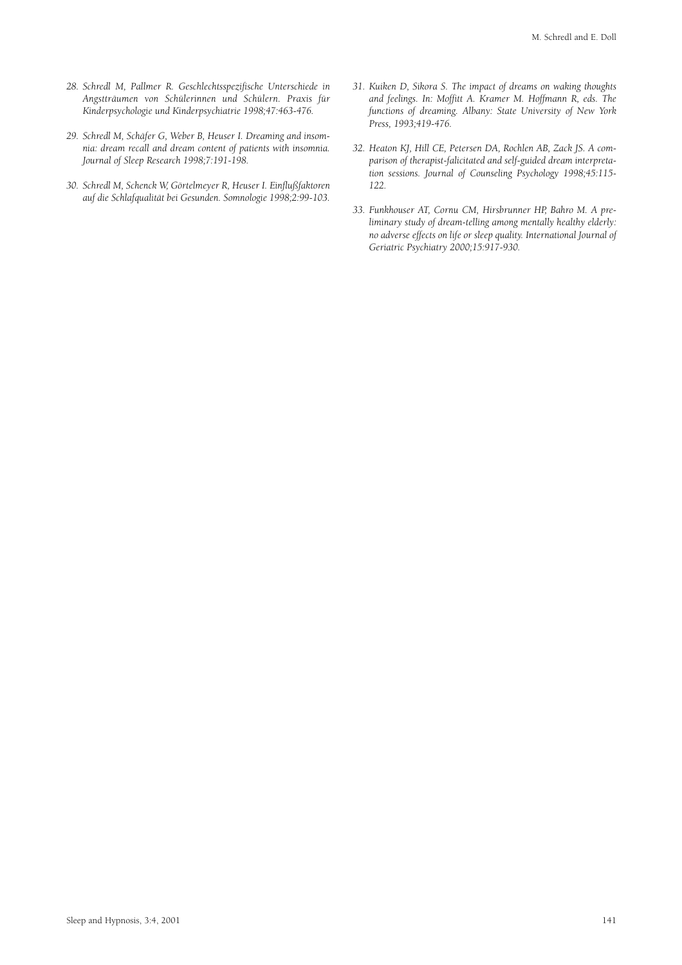- *28. Schredl M, Pallmer R. Geschlechtsspezifische Unterschiede in Angstträumen von Schülerinnen und Schülern. Praxis für Kinderpsychologie und Kinderpsychiatrie 1998;47:463-476.*
- *29. Schredl M, Schäfer G, Weber B, Heuser I. Dreaming and insomnia: dream recall and dream content of patients with insomnia. Journal of Sleep Research 1998;7:191-198.*
- *30. Schredl M, Schenck W, Görtelmeyer R, Heuser I. Einflußfaktoren auf die Schlafqualität bei Gesunden. Somnologie 1998;2:99-103.*
- *31. Kuiken D, Sikora S. The impact of dreams on waking thoughts and feelings. In: Moffitt A. Kramer M. Hoffmann R, eds. The functions of dreaming. Albany: State University of New York Press, 1993;419-476.*
- *32. Heaton KJ, Hill CE, Petersen DA, Rochlen AB, Zack JS. A comparison of therapist-falicitated and self-guided dream interpretation sessions. Journal of Counseling Psychology 1998;45:115- 122.*
- *33. Funkhouser AT, Cornu CM, Hirsbrunner HP, Bahro M. A preliminary study of dream-telling among mentally healthy elderly: no adverse effects on life or sleep quality. International Journal of Geriatric Psychiatry 2000;15:917-930.*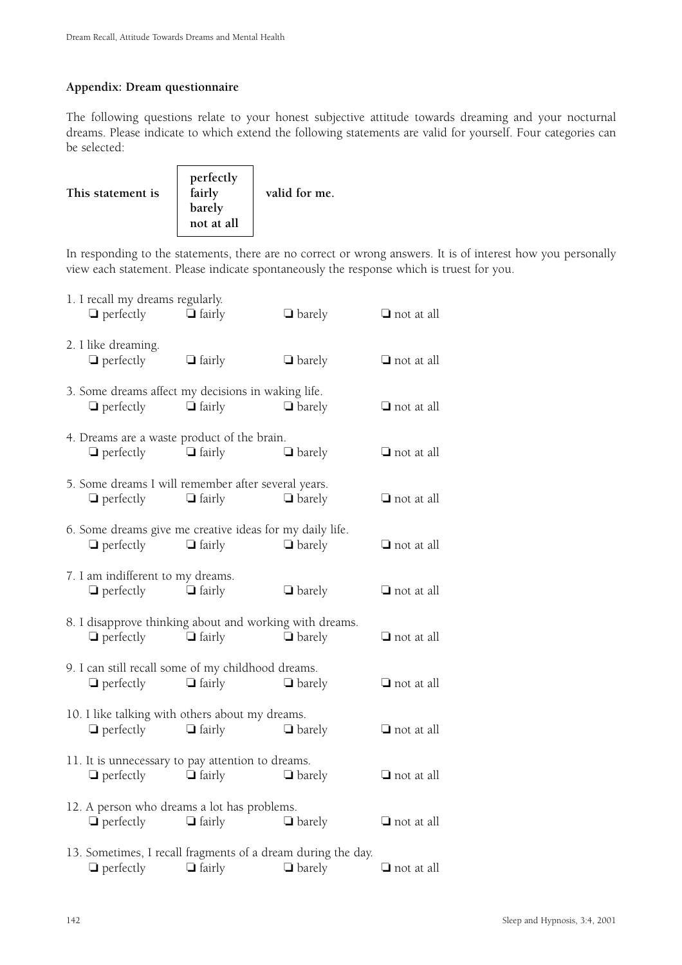## **Appendix: Dream questionnaire**

The following questions relate to your honest subjective attitude towards dreaming and your nocturnal dreams. Please indicate to which extend the following statements are valid for yourself. Four categories can be selected:

| This statement is | perfectly<br>fairly<br>barely<br>not at all | valid for me. |
|-------------------|---------------------------------------------|---------------|
|                   |                                             |               |

In responding to the statements, there are no correct or wrong answers. It is of interest how you personally view each statement. Please indicate spontaneously the response which is truest for you.

| 1. I recall my dreams regularly.<br>$\Box$ perfectly                                  | $\Box$ fairly                  | $\Box$ barely | $\Box$ not at all |
|---------------------------------------------------------------------------------------|--------------------------------|---------------|-------------------|
| 2. I like dreaming.<br>$\Box$ perfectly                                               | $\Box$ fairly                  | $\Box$ barely | $\Box$ not at all |
| 3. Some dreams affect my decisions in waking life.<br>$\Box$ perfectly                | $\Box$ fairly                  | $\Box$ barely | $\Box$ not at all |
| 4. Dreams are a waste product of the brain.<br>$\Box$ perfectly                       | $\Box$ fairly                  | $\Box$ barely | $\Box$ not at all |
| 5. Some dreams I will remember after several years.<br>$\Box$ perfectly $\Box$ fairly |                                | $\Box$ barely | $\Box$ not at all |
| 6. Some dreams give me creative ideas for my daily life.<br>$\Box$ perfectly          | $\Box$ fairly                  | $\Box$ barely | $\Box$ not at all |
| 7. I am indifferent to my dreams.<br>$\Box$ perfectly                                 | $\Box$ fairly                  | $\Box$ barely | $\Box$ not at all |
| 8. I disapprove thinking about and working with dreams.<br>$\Box$ perfectly           | $\Box$ fairly                  | $\Box$ barely | $\Box$ not at all |
| 9. I can still recall some of my childhood dreams.<br>$\Box$ perfectly                | $\Box$ fairly                  | $\Box$ barely | $\Box$ not at all |
| 10. I like talking with others about my dreams.<br>$\Box$ perfectly                   | $\Box$ fairly                  | $\Box$ barely | $\Box$ not at all |
| 11. It is unnecessary to pay attention to dreams.<br>$\Box$ perfectly $\Box$ fairly   |                                | $\Box$ barely | $\Box$ not at all |
| 12. A person who dreams a lot has problems.                                           | $\Box$ perfectly $\Box$ fairly | $\Box$ barely | $\Box$ not at all |
| 13. Sometimes, I recall fragments of a dream during the day.<br>$\Box$ perfectly      | $\Box$ fairly                  | $\Box$ barely | $\Box$ not at all |